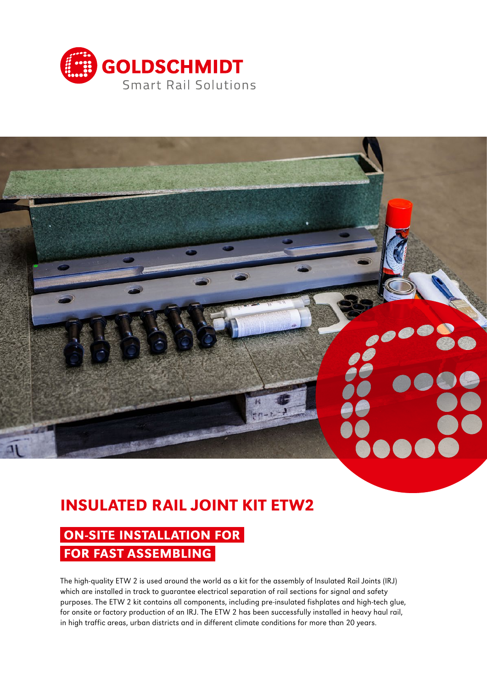



# INSULATED RAIL JOINT KIT ETW2

## ON-SITE INSTALLATION FOR FOR FAST ASSEMBLING

The high-quality ETW 2 is used around the world as a kit for the assembly of Insulated Rail Joints (IRJ) which are installed in track to guarantee electrical separation of rail sections for signal and safety purposes. The ETW 2 kit contains all components, including pre-insulated fishplates and high-tech glue, for onsite or factory production of an IRJ. The ETW 2 has been successfully installed in heavy haul rail, in high traffic areas, urban districts and in different climate conditions for more than 20 years.